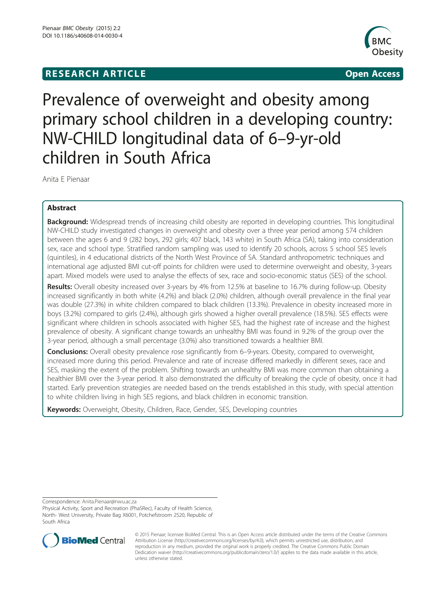# **RESEARCH ARTICLE Example 2008 CONSIDERING CONSIDERING CONSIDERING CONSIDERING CONSIDERING CONSIDERING CONSIDERING CONSIDERING CONSIDERING CONSIDERING CONSIDERING CONSIDERING CONSIDERING CONSIDERING CONSIDERING CONSIDE**



# Prevalence of overweight and obesity among primary school children in a developing country: NW-CHILD longitudinal data of 6–9-yr-old children in South Africa

Anita E Pienaar

# Abstract

**Background:** Widespread trends of increasing child obesity are reported in developing countries. This longitudinal NW-CHILD study investigated changes in overweight and obesity over a three year period among 574 children between the ages 6 and 9 (282 boys, 292 girls; 407 black, 143 white) in South Africa (SA), taking into consideration sex, race and school type. Stratified random sampling was used to identify 20 schools, across 5 school SES levels (quintiles), in 4 educational districts of the North West Province of SA. Standard anthropometric techniques and international age adjusted BMI cut-off points for children were used to determine overweight and obesity, 3-years apart. Mixed models were used to analyse the effects of sex, race and socio-economic status (SES) of the school.

Results: Overall obesity increased over 3-years by 4% from 12.5% at baseline to 16.7% during follow-up. Obesity increased significantly in both white (4.2%) and black (2.0%) children, although overall prevalence in the final year was double (27.3%) in white children compared to black children (13.3%). Prevalence in obesity increased more in boys (3.2%) compared to girls (2.4%), although girls showed a higher overall prevalence (18.5%). SES effects were significant where children in schools associated with higher SES, had the highest rate of increase and the highest prevalence of obesity. A significant change towards an unhealthy BMI was found in 9.2% of the group over the 3-year period, although a small percentage (3.0%) also transitioned towards a healthier BMI.

**Conclusions:** Overall obesity prevalence rose significantly from 6–9-years. Obesity, compared to overweight, increased more during this period. Prevalence and rate of increase differed markedly in different sexes, race and SES, masking the extent of the problem. Shifting towards an unhealthy BMI was more common than obtaining a healthier BMI over the 3-year period. It also demonstrated the difficulty of breaking the cycle of obesity, once it had started. Early prevention strategies are needed based on the trends established in this study, with special attention to white children living in high SES regions, and black children in economic transition.

Keywords: Overweight, Obesity, Children, Race, Gender, SES, Developing countries

Correspondence: [Anita.Pienaar@nwu.ac.za](mailto:Anita.Pienaar@nwu.ac.za)

Physical Activity, Sport and Recreation (PhaSRec), Faculty of Health Science, North- West University, Private Bag X6001, Potchefstroom 2520, Republic of South Africa



© 2015 Pienaar; licensee BioMed Central. This is an Open Access article distributed under the terms of the Creative Commons Attribution License (<http://creativecommons.org/licenses/by/4.0>), which permits unrestricted use, distribution, and reproduction in any medium, provided the original work is properly credited. The Creative Commons Public Domain Dedication waiver [\(http://creativecommons.org/publicdomain/zero/1.0/](http://creativecommons.org/publicdomain/zero/1.0/)) applies to the data made available in this article, unless otherwise stated.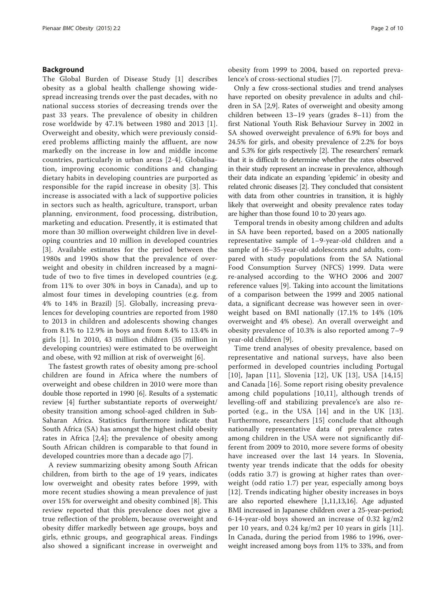## Background

The Global Burden of Disease Study [[1](#page-8-0)] describes obesity as a global health challenge showing widespread increasing trends over the past decades, with no national success stories of decreasing trends over the past 33 years. The prevalence of obesity in children rose worldwide by 47.1% between 1980 and 2013 [[1](#page-8-0)]. Overweight and obesity, which were previously considered problems afflicting mainly the affluent, are now markedly on the increase in low and middle income countries, particularly in urban areas [\[2](#page-8-0)-[4](#page-8-0)]. Globalisation, improving economic conditions and changing dietary habits in developing countries are purported as responsible for the rapid increase in obesity [[3](#page-8-0)]. This increase is associated with a lack of supportive policies in sectors such as health, agriculture, transport, urban planning, environment, food processing, distribution, marketing and education. Presently, it is estimated that more than 30 million overweight children live in developing countries and 10 million in developed countries [[3](#page-8-0)]. Available estimates for the period between the 1980s and 1990s show that the prevalence of overweight and obesity in children increased by a magnitude of two to five times in developed countries (e.g. from 11% to over 30% in boys in Canada), and up to almost four times in developing countries (e.g. from 4% to 14% in Brazil) [[5\]](#page-8-0). Globally, increasing prevalences for developing countries are reported from 1980 to 2013 in children and adolescents showing changes from 8.1% to 12.9% in boys and from 8.4% to 13.4% in girls [[1](#page-8-0)]. In 2010, 43 million children (35 million in developing countries) were estimated to be overweight and obese, with 92 million at risk of overweight [[6](#page-8-0)].

The fastest growth rates of obesity among pre-school children are found in Africa where the numbers of overweight and obese children in 2010 were more than double those reported in 1990 [[6](#page-8-0)]. Results of a systematic review [[4\]](#page-8-0) further substantiate reports of overweight/ obesity transition among school-aged children in Sub-Saharan Africa. Statistics furthermore indicate that South Africa (SA) has amongst the highest child obesity rates in Africa [[2,4](#page-8-0)]; the prevalence of obesity among South African children is comparable to that found in developed countries more than a decade ago [\[7](#page-8-0)].

A review summarizing obesity among South African children, from birth to the age of 19 years, indicates low overweight and obesity rates before 1999, with more recent studies showing a mean prevalence of just over 15% for overweight and obesity combined [[8\]](#page-8-0). This review reported that this prevalence does not give a true reflection of the problem, because overweight and obesity differ markedly between age groups, boys and girls, ethnic groups, and geographical areas. Findings also showed a significant increase in overweight and

obesity from 1999 to 2004, based on reported prevalence's of cross-sectional studies [[7](#page-8-0)].

Only a few cross-sectional studies and trend analyses have reported on obesity prevalence in adults and children in SA [\[2,9](#page-8-0)]. Rates of overweight and obesity among children between 13–19 years (grades 8–11) from the first National Youth Risk Behaviour Survey in 2002 in SA showed overweight prevalence of 6.9% for boys and 24.5% for girls, and obesity prevalence of 2.2% for boys and 5.3% for girls respectively [[2](#page-8-0)]. The researchers' remark that it is difficult to determine whether the rates observed in their study represent an increase in prevalence, although their data indicate an expanding 'epidemic' in obesity and related chronic diseases [\[2\]](#page-8-0). They concluded that consistent with data from other countries in transition, it is highly likely that overweight and obesity prevalence rates today are higher than those found 10 to 20 years ago.

Temporal trends in obesity among children and adults in SA have been reported, based on a 2005 nationally representative sample of 1–9-year-old children and a sample of 16–35-year-old adolescents and adults, compared with study populations from the SA National Food Consumption Survey (NFCS) 1999. Data were re-analysed according to the WHO 2006 and 2007 reference values [[9](#page-8-0)]. Taking into account the limitations of a comparison between the 1999 and 2005 national data, a significant decrease was however seen in overweight based on BMI nationally (17.1% to 14% (10% overweight and 4% obese). An overall overweight and obesity prevalence of 10.3% is also reported among 7–9 year-old children [[9\]](#page-8-0).

Time trend analyses of obesity prevalence, based on representative and national surveys, have also been performed in developed countries including Portugal [[10](#page-9-0)], Japan [\[11\]](#page-9-0), Slovenia [[12](#page-9-0)], UK [[13](#page-9-0)], USA [[14,15](#page-9-0)] and Canada [[16\]](#page-9-0). Some report rising obesity prevalence among child populations [[10,11](#page-9-0)], although trends of levelling-off and stabilizing prevalence's are also reported (e.g., in the USA [[14](#page-9-0)] and in the UK [[13](#page-9-0)]. Furthermore, researchers [[15\]](#page-9-0) conclude that although nationally representative data of prevalence rates among children in the USA were not significantly different from 2009 to 2010, more severe forms of obesity have increased over the last 14 years. In Slovenia, twenty year trends indicate that the odds for obesity (odds ratio 3.7) is growing at higher rates than overweight (odd ratio 1.7) per year, especially among boys [[12](#page-9-0)]. Trends indicating higher obesity increases in boys are also reported elsewhere [[1](#page-8-0)[,11,13,16](#page-9-0)]. Age adjusted BMI increased in Japanese children over a 25-year-period; 6-14-year-old boys showed an increase of 0.32 kg/m2 per 10 years, and 0.24 kg/m2 per 10 years in girls [[11](#page-9-0)]. In Canada, during the period from 1986 to 1996, overweight increased among boys from 11% to 33%, and from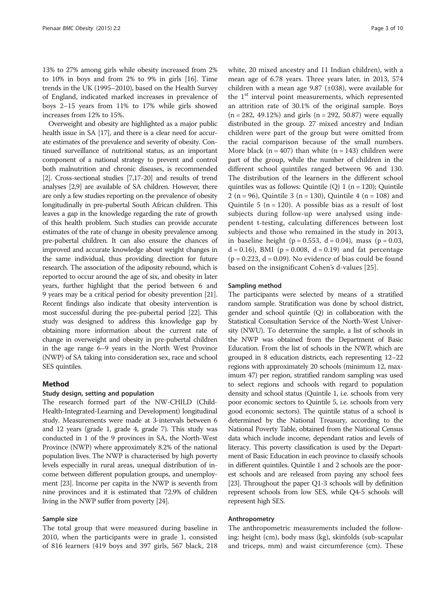13% to 27% among girls while obesity increased from 2% to 10% in boys and from 2% to 9% in girls [[16](#page-9-0)]. Time trends in the UK (1995–2010), based on the Health Survey of England, indicated marked increases in prevalence of boys 2–15 years from 11% to 17% while girls showed increases from 12% to 15%.

Overweight and obesity are highlighted as a major public health issue in SA [\[17](#page-9-0)], and there is a clear need for accurate estimates of the prevalence and severity of obesity. Continued surveillance of nutritional status, as an important component of a national strategy to prevent and control both malnutrition and chronic diseases, is recommended [[2](#page-8-0)]. Cross-sectional studies [\[7,](#page-8-0)[17](#page-9-0)-[20](#page-9-0)] and results of trend analyses [\[2,9](#page-8-0)] are available of SA children. However, there are only a few studies reporting on the prevalence of obesity longitudinally in pre-pubertal South African children. This leaves a gap in the knowledge regarding the rate of growth of this health problem. Such studies can provide accurate estimates of the rate of change in obesity prevalence among pre-pubertal children. It can also ensure the chances of improved and accurate knowledge about weight changes in the same individual, thus providing direction for future research. The association of the adiposity rebound, which is reported to occur around the age of six, and obesity in later years, further highlight that the period between 6 and 9 years may be a critical period for obesity prevention [\[21](#page-9-0)]. Recent findings also indicate that obesity intervention is most successful during the pre-pubertal period [\[22\]](#page-9-0). This study was designed to address this knowledge gap by obtaining more information about the current rate of change in overweight and obesity in pre-pubertal children in the age range 6–9 years in the North West Province (NWP) of SA taking into consideration sex, race and school SES quintiles.

# Method

#### Study design, setting and population

The research formed part of the NW-CHILD (Child-Health-Integrated-Learning and Development) longitudinal study. Measurements were made at 3-intervals between 6 and 12 years (grade 1, grade 4, grade 7). This study was conducted in 1 of the 9 provinces in SA, the North-West Province (NWP) where approximately 8.2% of the national population lives. The NWP is characterised by high poverty levels especially in rural areas, unequal distribution of income between different population groups, and unemployment [\[23\]](#page-9-0). Income per capita in the NWP is seventh from nine provinces and it is estimated that 72.9% of children living in the NWP suffer from poverty [\[24\]](#page-9-0).

# Sample size

The total group that were measured during baseline in 2010, when the participants were in grade 1, consisted of 816 learners (419 boys and 397 girls, 567 black, 218 white, 20 mixed ancestry and 11 Indian children), with a mean age of 6.78 years. Three years later, in 2013, 574 children with a mean age 9.87 (±038), were available for the  $1<sup>st</sup>$  interval point measurements, which represented an attrition rate of 30.1% of the original sample. Boys  $(n = 282, 49.12\%)$  and girls  $(n = 292, 50.87)$  were equally distributed in the group. 27 mixed ancestry and Indian children were part of the group but were omitted from the racial comparison because of the small numbers. More black ( $n = 407$ ) than white ( $n = 143$ ) children were part of the group, while the number of children in the different school quintiles ranged between 96 and 130. The distribution of the learners in the different school quintiles was as follows: Quintile  $(Q)$  1 (n = 120); Quintile 2 (n = 96), Quintile 3 (n = 130), Quintile 4 (n = 108) and Quintile 5 ( $n = 120$ ). A possible bias as a result of lost subjects during follow-up were analysed using independent t-testing, calculating differences between lost subjects and those who remained in the study in 2013, in baseline height ( $p = 0.553$ ,  $d = 0.04$ ), mass ( $p = 0.03$ ,  $d = 0.16$ , BMI (p = 0.008, d = 0.19) and fat percentage  $(p = 0.223, d = 0.09)$ . No evidence of bias could be found based on the insignificant Cohen's d-values [[25\]](#page-9-0).

#### Sampling method

The participants were selected by means of a stratified random sample. Stratification was done by school district, gender and school quintile (Q) in collaboration with the Statistical Consultation Service of the North-West University (NWU). To determine the sample, a list of schools in the NWP was obtained from the Department of Basic Education. From the list of schools in the NWP, which are grouped in 8 education districts, each representing 12–22 regions with approximately 20 schools (minimum 12, maximum 47) per region, stratified random sampling was used to select regions and schools with regard to population density and school status (Quintile 1, i.e. schools from very poor economic sectors to Quintile 5, i.e. schools from very good economic sectors). The quintile status of a school is determined by the National Treasury, according to the National Poverty Table, obtained from the National Census data which include income, dependant ratios and levels of literacy. This poverty classification is used by the Department of Basic Education in each province to classify schools in different quintiles. Quintile 1 and 2 schools are the poorest schools and are released from paying any school fees [[23](#page-9-0)]. Throughout the paper Q1-3 schools will by definition represent schools from low SES, while Q4-5 schools will represent high SES.

#### Anthropometry

The anthropometric measurements included the following: height (cm), body mass (kg), skinfolds (sub-scapular and triceps, mm) and waist circumference (cm). These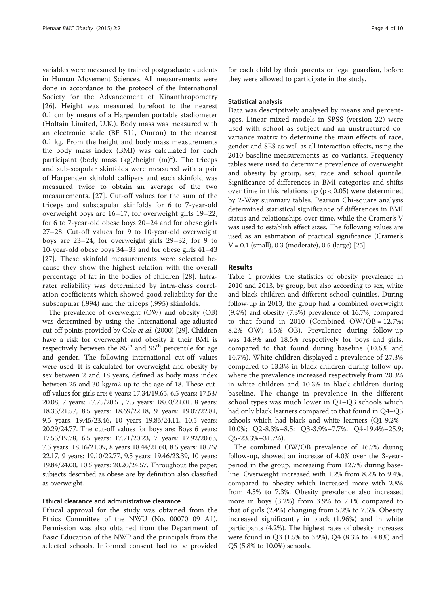variables were measured by trained postgraduate students in Human Movement Sciences. All measurements were done in accordance to the protocol of the International Society for the Advancement of Kinanthropometry [[26](#page-9-0)]. Height was measured barefoot to the nearest 0.1 cm by means of a Harpenden portable stadiometer (Holtain Limited, U.K.). Body mass was measured with an electronic scale (BF 511, Omron) to the nearest 0.1 kg. From the height and body mass measurements the body mass index (BMI) was calculated for each participant (body mass (kg)/height  $(m)^2$ ). The triceps and sub-scapular skinfolds were measured with a pair of Harpenden skinfold callipers and each skinfold was measured twice to obtain an average of the two measurements. [[27](#page-9-0)]. Cut-off values for the sum of the triceps and subscapular skinfolds for 6 to 7-year-old overweight boys are 16–17, for overweight girls 19–22, for 6 to 7-year-old obese boys 20–24 and for obese girls 27–28. Cut-off values for 9 to 10-year-old overweight boys are 23–24, for overweight girls 29–32, for 9 to 10-year-old obese boys 34–33 and for obese girls 41–43 [[27](#page-9-0)]. These skinfold measurements were selected because they show the highest relation with the overall percentage of fat in the bodies of children [[28\]](#page-9-0). Intrarater reliability was determined by intra-class correlation coefficients which showed good reliability for the subscapular (.994) and the triceps (.995) skinfolds.

The prevalence of overweight (OW) and obesity (OB) was determined by using the International age-adjusted cut-off points provided by Cole et al. (2000) [\[29\]](#page-9-0). Children have a risk for overweight and obesity if their BMI is respectively between the  $85<sup>th</sup>$  and  $95<sup>th</sup>$  percentile for age and gender. The following international cut-off values were used. It is calculated for overweight and obesity by sex between 2 and 18 years, defined as body mass index between 25 and 30 kg/m2 up to the age of 18. These cutoff values for girls are: 6 years: 17.34/19.65, 6.5 years: 17.53/ 20.08, 7 years: 17.75/20.51, 7.5 years: 18.03/21.01, 8 years: 18.35/21.57, 8.5 years: 18.69/22.18, 9 years: 19.07/22.81, 9.5 years: 19.45/23.46, 10 years 19.86/24.11, 10.5 years: 20.29/24.77. The cut-off values for boys are: Boys 6 years: 17.55/19.78, 6.5 years: 17.71/20.23, 7 years: 17.92/20.63, 7.5 years: 18.16/21.09, 8 years 18.44/21.60, 8.5 years: 18.76/ 22.17, 9 years: 19.10/22.77, 9.5 years: 19.46/23.39, 10 years: 19.84/24.00, 10.5 years: 20.20/24.57. Throughout the paper, subjects described as obese are by definition also classified as overweight.

#### Ethical clearance and administrative clearance

Ethical approval for the study was obtained from the Ethics Committee of the NWU (No. 00070 09 A1). Permission was also obtained from the Department of Basic Education of the NWP and the principals from the selected schools. Informed consent had to be provided

for each child by their parents or legal guardian, before they were allowed to participate in the study.

#### Statistical analysis

Data was descriptively analysed by means and percentages. Linear mixed models in SPSS (version 22) were used with school as subject and an unstructured covariance matrix to determine the main effects of race, gender and SES as well as all interaction effects, using the 2010 baseline measurements as co-variants. Frequency tables were used to determine prevalence of overweight and obesity by group, sex, race and school quintile. Significance of differences in BMI categories and shifts over time in this relationship ( $p < 0.05$ ) were determined by 2-Way summary tables. Pearson Chi-square analysis determined statistical significance of differences in BMI status and relationships over time, while the Cramer's V was used to establish effect sizes. The following values are used as an estimation of practical significance (Cramer's  $V = 0.1$  (small), 0.3 (moderate), 0.5 (large) [\[25\]](#page-9-0).

#### Results

Table [1](#page-4-0) provides the statistics of obesity prevalence in 2010 and 2013, by group, but also according to sex, white and black children and different school quintiles. During follow-up in 2013, the group had a combined overweight (9.4%) and obesity (7.3%) prevalence of 16.7%, compared to that found in 2010 (Combined OW/OB =  $12.7\%$ ; 8.2% OW; 4.5% OB). Prevalence during follow-up was 14.9% and 18.5% respectively for boys and girls, compared to that found during baseline (10.6% and 14.7%). White children displayed a prevalence of 27.3% compared to 13.3% in black children during follow-up, where the prevalence increased respectively from 20.3% in white children and 10.3% in black children during baseline. The change in prevalence in the different school types was much lower in Q1–Q3 schools which had only black learners compared to that found in Q4–Q5 schools which had black and white learners (Q1-9.2%– 10.0%; Q2-8.3%–8.5; Q3-3.9%–7.7%, Q4-19.4%–25.9; Q5-23.3%–31.7%).

The combined OW/OB prevalence of 16.7% during follow-up, showed an increase of 4.0% over the 3-yearperiod in the group, increasing from 12.7% during baseline. Overweight increased with 1.2% from 8.2% to 9.4%, compared to obesity which increased more with 2.8% from 4.5% to 7.3%. Obesity prevalence also increased more in boys (3.2%) from 3.9% to 7.1% compared to that of girls (2.4%) changing from 5.2% to 7.5%. Obesity increased significantly in black (1.96%) and in white participants (4.2%). The highest rates of obesity increases were found in Q3 (1.5% to 3.9%), Q4 (8.3% to 14.8%) and Q5 (5.8% to 10.0%) schools.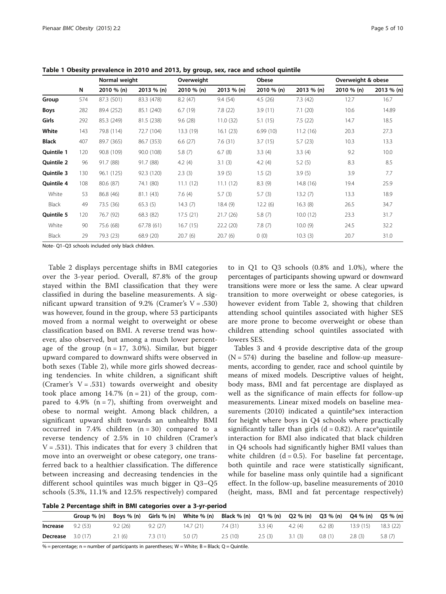|              | Ν   | Normal weight |            | Overweight |            | Obese      |            | Overweight & obese |            |
|--------------|-----|---------------|------------|------------|------------|------------|------------|--------------------|------------|
|              |     | 2010 % (n)    | 2013 % (n) | 2010 % (n) | 2013 % (n) | 2010 % (n) | 2013 % (n) | 2010 % (n)         | 2013 % (n) |
| Group        | 574 | 87.3 (501)    | 83.3 (478) | 8.2(47)    | 9.4(54)    | 4.5(26)    | 7.3(42)    | 12.7               | 16.7       |
| <b>Boys</b>  | 282 | 89.4 (252)    | 85.1 (240) | 6.7(19)    | 7.8(22)    | 3.9(11)    | 7.1(20)    | 10.6               | 14.89      |
| Girls        | 292 | 85.3 (249)    | 81.5 (238) | 9.6(28)    | 11.0(32)   | 5.1(15)    | 7.5(22)    | 14.7               | 18.5       |
| White        | 143 | 79.8 (114)    | 72.7 (104) | 13.3(19)   | 16.1(23)   | 6.99(10)   | 11.2(16)   | 20.3               | 27.3       |
| <b>Black</b> | 407 | 89.7 (365)    | 86.7 (353) | 6.6(27)    | 7.6(31)    | 3.7(15)    | 5.7(23)    | 10.3               | 13.3       |
| Quintile 1   | 120 | 90.8 (109)    | 90.0 (108) | 5.8(7)     | 6.7(8)     | 3.3(4)     | 3.3(4)     | 9.2                | 10.0       |
| Quintile 2   | 96  | 91.7 (88)     | 91.7 (88)  | 4.2 $(4)$  | 3.1(3)     | 4.2 $(4)$  | 5.2(5)     | 8.3                | 8.5        |
| Quintile 3   | 130 | 96.1 (125)    | 92.3 (120) | 2.3(3)     | 3.9(5)     | 1.5(2)     | 3.9(5)     | 3.9                | 7.7        |
| Quintile 4   | 108 | 80.6 (87)     | 74.1 (80)  | 11.1(12)   | 11.1(12)   | 8.3(9)     | 14.8 (16)  | 19.4               | 25.9       |
| White        | 53  | 86.8 (46)     | 81.1 (43)  | 7.6(4)     | 5.7(3)     | 5.7(3)     | 13.2(7)    | 13.3               | 18.9       |
| Black        | 49  | 73.5 (36)     | 65.3(5)    | 14.3(7)    | 18.4(9)    | 12.2(6)    | 16.3(8)    | 26.5               | 34.7       |
| Quintile 5   | 120 | 76.7 (92)     | 68.3 (82)  | 17.5(21)   | 21.7(26)   | 5.8(7)     | 10.0(12)   | 23.3               | 31.7       |
| White        | 90  | 75.6 (68)     | 67.78(61)  | 16.7(15)   | 22.2 (20)  | 7.8(7)     | 10.0(9)    | 24.5               | 32.2       |
| Black        | 29  | 79.3 (23)     | 68.9 (20)  | 20.7(6)    | 20.7(6)    | 0(0)       | 10.3(3)    | 20.7               | 31.0       |

<span id="page-4-0"></span>Table 1 Obesity prevalence in 2010 and 2013, by group, sex, race and school quintile

Note- Q1–Q3 schools included only black children.

Table 2 displays percentage shifts in BMI categories over the 3-year period. Overall, 87.8% of the group stayed within the BMI classification that they were classified in during the baseline measurements. A significant upward transition of 9.2% (Cramer's  $V = .530$ ) was however, found in the group, where 53 participants moved from a normal weight to overweight or obese classification based on BMI. A reverse trend was however, also observed, but among a much lower percentage of the group  $(n = 17, 3.0\%)$ . Similar, but bigger upward compared to downward shifts were observed in both sexes (Table 2), while more girls showed decreasing tendencies. In white children, a significant shift (Cramer's  $V = .531$ ) towards overweight and obesity took place among  $14.7\%$  (n = 21) of the group, compared to 4.9%  $(n = 7)$ , shifting from overweight and obese to normal weight. Among black children, a significant upward shift towards an unhealthy BMI occurred in 7.4% children  $(n = 30)$  compared to a reverse tendency of 2.5% in 10 children (Cramer's  $V = .531$ ). This indicates that for every 3 children that move into an overweight or obese category, one transferred back to a healthier classification. The difference between increasing and decreasing tendencies in the different school quintiles was much bigger in Q3–Q5 schools (5.3%, 11.1% and 12.5% respectively) compared

to in Q1 to Q3 schools (0.8% and 1.0%), where the percentages of participants showing upward or downward transitions were more or less the same. A clear upward transition to more overweight or obese categories, is however evident from Table 2, showing that children attending school quintiles associated with higher SES are more prone to become overweight or obese than children attending school quintiles associated with lowers SES.

Tables [3](#page-5-0) and [4](#page-5-0) provide descriptive data of the group  $(N = 574)$  during the baseline and follow-up measurements, according to gender, race and school quintile by means of mixed models. Descriptive values of height, body mass, BMI and fat percentage are displayed as well as the significance of main effects for follow-up measurements. Linear mixed models on baseline measurements (2010) indicated a quintile\*sex interaction for height where boys in Q4 schools where practically significantly taller than girls  $(d = 0.82)$ . A race\*quintile interaction for BMI also indicated that black children in Q4 schools had significantly higher BMI values than white children  $(d = 0.5)$ . For baseline fat percentage, both quintile and race were statistically significant, while for baseline mass only quintile had a significant effect. In the follow-up, baseline measurements of 2010 (height, mass, BMI and fat percentage respectively)

| Table 2 Percentage shift in BMI categories over a 3-yr-period |  |  |  |  |  |
|---------------------------------------------------------------|--|--|--|--|--|
|---------------------------------------------------------------|--|--|--|--|--|

|          | Group % (n) | Boys % (n) | Girls % (n) | White % (n) | Black % (n) Q1 % (n) Q2 % (n) Q3 % (n) |        |        |        | Q4 % (n) Q5 % (n) |          |
|----------|-------------|------------|-------------|-------------|----------------------------------------|--------|--------|--------|-------------------|----------|
| Increase | 9.2(53)     | 9.2(26)    | 9.2(27)     | 14.7(21)    | 7.4(31)                                | 3.3(4) | 4.2(4) | 6.2(8) | 13.9 (15)         | 18.3(22) |
| Decrease | 3.0 (17)    | 2.1(6)     | 7.3(11)     | 5.0(7)      | 2.5(10)                                | 2.5(3) | 3.1(3) | 0.8(1) | 2.8(3)            | 5.8(7)   |

 $%$  = percentage; n = number of participants in parentheses; W = White; B = Black; Q = Quintile.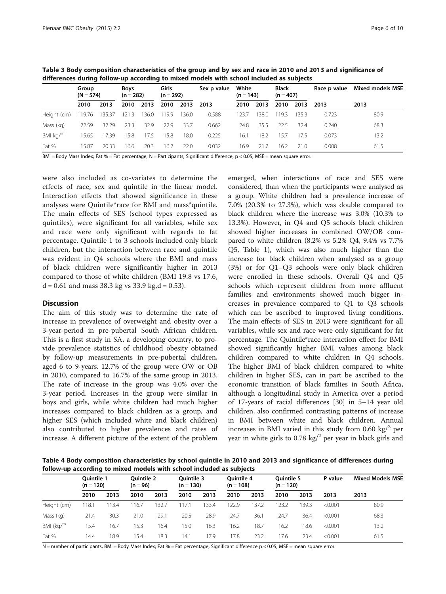<span id="page-5-0"></span>

| Table 3 Body composition characteristics of the group and by sex and race in 2010 and 2013 and significance of |
|----------------------------------------------------------------------------------------------------------------|
| differences during follow-up according to mixed models with school included as subjects                        |

|             | Group<br>$(N = 574)$ |        | <b>Boys</b><br>$(n = 282)$ |       | Girls<br>$(n = 292)$ |       | Sex p value | White<br>$(n = 143)$ |      | <b>Black</b><br>$(n = 407)$ |      | Race p value | Mixed models MSE |  |
|-------------|----------------------|--------|----------------------------|-------|----------------------|-------|-------------|----------------------|------|-----------------------------|------|--------------|------------------|--|
|             | 2010                 | 2013   | 2010                       | 2013  | 2010                 | 2013  | 2013        | 2010                 | 2013 | 2010                        | 2013 | 2013         | 2013             |  |
| Height (cm) | 119.76               | 135.37 | 121.3                      | 136.0 | 19.9                 | 136.0 | 0.588       | 123.7                | 38.0 | 19.3                        | 35.3 | 0.723        | 80.9             |  |
| Mass (kg)   | 22.59                | 32.29  | 23.3                       | 32.9  | 22.9                 | 33.7  | 0.662       | 24.8                 | 35.5 | 22.5                        | 32.4 | 0.240        | 68.3             |  |
| BMI $kg/m$  | 15.65                | 17.39  | 15.8                       | 17.5  | 15.8                 | 18.0  | 0.225       | 16.1                 | 18.2 | 15.7                        | 17.5 | 0.073        | 13.2             |  |
| Fat %       | 15.87                | 20.33  | 16.6                       | 20.3  | 16.2                 | 22.0  | 0.032       | 16.9                 | 21.7 | 16.2                        | 21.0 | 0.008        | 61.5             |  |

BMI = Body Mass Index; Fat % = Fat percentage; N = Participants; Significant difference, p < 0.05, MSE = mean square error.

were also included as co-variates to determine the effects of race, sex and quintile in the linear model. Interaction effects that showed significance in these analyses were Quintile\*race for BMI and mass\*quintile. The main effects of SES (school types expressed as quintiles), were significant for all variables, while sex and race were only significant with regards to fat percentage. Quintile 1 to 3 schools included only black children, but the interaction between race and quintile was evident in Q4 schools where the BMI and mass of black children were significantly higher in 2013 compared to those of white children (BMI 19.8 vs 17.6,  $d = 0.61$  and mass 38.3 kg vs 33.9 kg, $d = 0.53$ ).

#### **Discussion**

The aim of this study was to determine the rate of increase in prevalence of overweight and obesity over a 3-year-period in pre-pubertal South African children. This is a first study in SA, a developing country, to provide prevalence statistics of childhood obesity obtained by follow-up measurements in pre-pubertal children, aged 6 to 9-years. 12.7% of the group were OW or OB in 2010, compared to 16.7% of the same group in 2013. The rate of increase in the group was 4.0% over the 3-year period. Increases in the group were similar in boys and girls, while white children had much higher increases compared to black children as a group, and higher SES (which included white and black children) also contributed to higher prevalences and rates of increase. A different picture of the extent of the problem

emerged, when interactions of race and SES were considered, than when the participants were analysed as a group. White children had a prevalence increase of 7.0% (20.3% to 27.3%), which was double compared to black children where the increase was 3.0% (10.3% to 13.3%). However, in Q4 and Q5 schools black children showed higher increases in combined OW/OB compared to white children (8.2% vs 5.2% Q4, 9.4% vs 7.7% Q5, Table [1](#page-4-0)), which was also much higher than the increase for black children when analysed as a group (3%) or for Q1–Q3 schools were only black children were enrolled in these schools. Overall Q4 and Q5 schools which represent children from more affluent families and environments showed much bigger increases in prevalence compared to Q1 to Q3 schools which can be ascribed to improved living conditions. The main effects of SES in 2013 were significant for all variables, while sex and race were only significant for fat percentage. The Quintile\*race interaction effect for BMI showed significantly higher BMI values among black children compared to white children in Q4 schools. The higher BMI of black children compared to white children in higher SES, can in part be ascribed to the economic transition of black families in South Africa, although a longitudinal study in America over a period of 17-years of racial differences [[30\]](#page-9-0) in 5–14 year old children, also confirmed contrasting patterns of increase in BMI between white and black children. Annual increases in BMI varied in this study from 0.60 kg $\ell^2$  per year in white girls to 0.78 kg/<sup>2</sup> per year in black girls and

Table 4 Body composition characteristics by school quintile in 2010 and 2013 and significance of differences during follow-up according to mixed models with school included as subjects

|              | <b>Ouintile 1</b><br>$(n = 120)$ |      | <b>Ouintile 2</b><br>$(n = 96)$ |       | <b>Ouintile 3</b><br>$(n = 130)$ |       | <b>Ouintile 4</b><br>$(n = 108)$ |       | <b>Ouintile 5</b><br>$(n = 120)$ |       | P value | <b>Mixed Models MSE</b> |  |
|--------------|----------------------------------|------|---------------------------------|-------|----------------------------------|-------|----------------------------------|-------|----------------------------------|-------|---------|-------------------------|--|
|              | 2010                             | 2013 | 2010                            | 2013  | 2010                             | 2013  | 2010                             | 2013  | 2010                             | 2013  | 2013    | 2013                    |  |
| Height (cm)  | 18.1                             | 13.4 | 16.7                            | 132.7 | 117.1                            | 133.4 | 122.9                            | 137.2 | 23.2                             | 139.3 | < 0.001 | 80.9                    |  |
| Mass (kg)    | 21.4                             | 30.3 | 21.0                            | 29.1  | 20.5                             | 28.9  | 24.7                             | 36.1  | 24.7                             | 36.4  | < 0.001 | 68.3                    |  |
| BMI $(kq)^m$ | 15.4                             | 16.7 | 15.3                            | 16.4  | 15.0                             | 16.3  | 16.2                             | 18.7  | 16.2                             | 18.6  | < 0.001 | 13.2                    |  |
| Fat %        | 14.4                             | 18.9 | 15.4                            | 18.3  | 14.1                             | 17.9  | 17.8                             | 23.2  | 17.6                             | 23.4  | < 0.001 | 61.5                    |  |

 $N$  = number of participants, BMI = Body Mass Index; Fat % = Fat percentage; Significant difference  $p < 0.05$ , MSE = mean square error.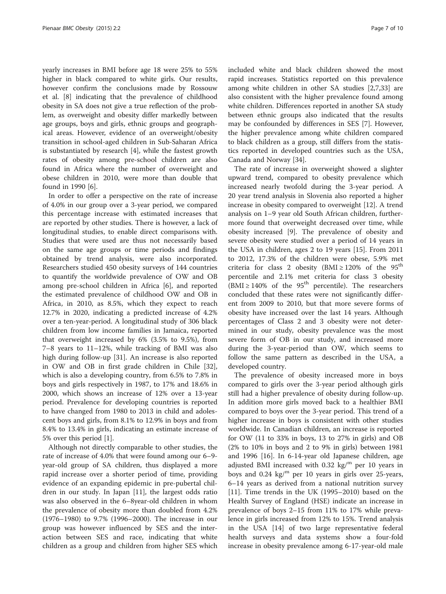yearly increases in BMI before age 18 were 25% to 55% higher in black compared to white girls. Our results, however confirm the conclusions made by Rossouw et al. [[8\]](#page-8-0) indicating that the prevalence of childhood obesity in SA does not give a true reflection of the problem, as overweight and obesity differ markedly between age groups, boys and girls, ethnic groups and geographical areas. However, evidence of an overweight/obesity transition in school-aged children in Sub-Saharan Africa is substantiated by research [\[4](#page-8-0)], while the fastest growth rates of obesity among pre-school children are also found in Africa where the number of overweight and obese children in 2010, were more than double that found in 1990 [\[6](#page-8-0)].

In order to offer a perspective on the rate of increase of 4.0% in our group over a 3-year period, we compared this percentage increase with estimated increases that are reported by other studies. There is however, a lack of longitudinal studies, to enable direct comparisons with. Studies that were used are thus not necessarily based on the same age groups or time periods and findings obtained by trend analysis, were also incorporated. Researchers studied 450 obesity surveys of 144 countries to quantify the worldwide prevalence of OW and OB among pre-school children in Africa [[6\]](#page-8-0), and reported the estimated prevalence of childhood OW and OB in Africa, in 2010, as 8.5%, which they expect to reach 12.7% in 2020, indicating a predicted increase of 4.2% over a ten-year-period. A longitudinal study of 306 black children from low income families in Jamaica, reported that overweight increased by 6% (3.5% to 9.5%), from 7–8 years to 11–12%, while tracking of BMI was also high during follow-up [[31\]](#page-9-0). An increase is also reported in OW and OB in first grade children in Chile [\[32](#page-9-0)], which is also a developing country, from 6.5% to 7.8% in boys and girls respectively in 1987, to 17% and 18.6% in 2000, which shows an increase of 12% over a 13-year period. Prevalence for developing countries is reported to have changed from 1980 to 2013 in child and adolescent boys and girls, from 8.1% to 12.9% in boys and from 8.4% to 13.4% in girls, indicating an estimate increase of 5% over this period [\[1\]](#page-8-0).

Although not directly comparable to other studies, the rate of increase of 4.0% that were found among our 6–9 year-old group of SA children, thus displayed a more rapid increase over a shorter period of time, providing evidence of an expanding epidemic in pre-pubertal children in our study. In Japan [[11\]](#page-9-0), the largest odds ratio was also observed in the 6–8year-old children in whom the prevalence of obesity more than doubled from 4.2% (1976–1980) to 9.7% (1996–2000). The increase in our group was however influenced by SES and the interaction between SES and race, indicating that white children as a group and children from higher SES which included white and black children showed the most rapid increases. Statistics reported on this prevalence among white children in other SA studies [\[2,7](#page-8-0)[,33](#page-9-0)] are also consistent with the higher prevalence found among white children. Differences reported in another SA study between ethnic groups also indicated that the results may be confounded by differences in SES [[7](#page-8-0)]. However, the higher prevalence among white children compared to black children as a group, still differs from the statistics reported in developed countries such as the USA, Canada and Norway [\[34\]](#page-9-0).

The rate of increase in overweight showed a slighter upward trend, compared to obesity prevalence which increased nearly twofold during the 3-year period. A 20 year trend analysis in Slovenia also reported a higher increase in obesity compared to overweight [[12\]](#page-9-0). A trend analysis on 1–9 year old South African children, furthermore found that overweight decreased over time, while obesity increased [[9\]](#page-8-0). The prevalence of obesity and severe obesity were studied over a period of 14 years in the USA in children, ages 2 to 19 years [[15\]](#page-9-0). From 2011 to 2012, 17.3% of the children were obese, 5.9% met criteria for class 2 obesity (BMI  $\geq$  120% of the 95<sup>th</sup> percentile and 2.1% met criteria for class 3 obesity  $(BMI \ge 140\%$  of the 95<sup>th</sup> percentile). The researchers concluded that these rates were not significantly different from 2009 to 2010, but that more severe forms of obesity have increased over the last 14 years. Although percentages of Class 2 and 3 obesity were not determined in our study, obesity prevalence was the most severe form of OB in our study, and increased more during the 3-year-period than OW, which seems to follow the same pattern as described in the USA, a developed country.

The prevalence of obesity increased more in boys compared to girls over the 3-year period although girls still had a higher prevalence of obesity during follow-up. In addition more girls moved back to a healthier BMI compared to boys over the 3-year period. This trend of a higher increase in boys is consistent with other studies worldwide. In Canadian children, an increase is reported for OW (11 to 33% in boys, 13 to 27% in girls) and OB (2% to 10% in boys and 2 to 9% in girls) between 1981 and 1996 [[16](#page-9-0)]. In 6-14-year old Japanese children, age adjusted BMI increased with 0.32 kg/ $^{\rm m}$  per 10 years in boys and 0.24 kg/<sup>m</sup> per 10 years in girls over 25-years, 6–14 years as derived from a national nutrition survey [[11\]](#page-9-0). Time trends in the UK (1995–2010) based on the Health Survey of England (HSE) indicate an increase in prevalence of boys 2–15 from 11% to 17% while prevalence in girls increased from 12% to 15%. Trend analysis in the USA [[14](#page-9-0)] of two large representative federal health surveys and data systems show a four-fold increase in obesity prevalence among 6-17-year-old male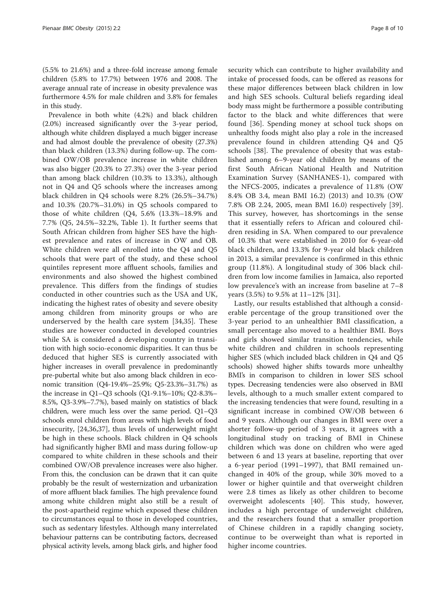(5.5% to 21.6%) and a three-fold increase among female children (5.8% to 17.7%) between 1976 and 2008. The average annual rate of increase in obesity prevalence was furthermore 4.5% for male children and 3.8% for females in this study.

Prevalence in both white (4.2%) and black children (2.0%) increased significantly over the 3-year period, although white children displayed a much bigger increase and had almost double the prevalence of obesity (27.3%) than black children (13.3%) during follow-up. The combined OW/OB prevalence increase in white children was also bigger (20.3% to 27.3%) over the 3-year period than among black children (10.3% to 13.3%), although not in Q4 and Q5 schools where the increases among black children in Q4 schools were 8.2% (26.5%–34.7%) and 10.3% (20.7%–31.0%) in Q5 schools compared to those of white children (Q4, 5.6% (13.3%–18.9% and 7.7% (Q5, 24.5%–32.2%, Table [1\)](#page-4-0). It further seems that South African children from higher SES have the highest prevalence and rates of increase in OW and OB. White children were all enrolled into the Q4 and Q5 schools that were part of the study, and these school quintiles represent more affluent schools, families and environments and also showed the highest combined prevalence. This differs from the findings of studies conducted in other countries such as the USA and UK, indicating the highest rates of obesity and severe obesity among children from minority groups or who are underserved by the health care system [\[34](#page-9-0),[35\]](#page-9-0). These studies are however conducted in developed countries while SA is considered a developing country in transition with high socio-economic disparities. It can thus be deduced that higher SES is currently associated with higher increases in overall prevalence in predominantly pre-pubertal white but also among black children in economic transition (Q4-19.4%–25.9%; Q5-23.3%–31.7%) as the increase in Q1–Q3 schools (Q1-9.1%–10%; Q2-8.3%– 8.5%, Q3-3.9%–7.7%), based mainly on statistics of black children, were much less over the same period. Q1–Q3 schools enrol children from areas with high levels of food insecurity, [[24,36,37](#page-9-0)], thus levels of underweight might be high in these schools. Black children in Q4 schools had significantly higher BMI and mass during follow-up compared to white children in these schools and their combined OW/OB prevalence increases were also higher. From this, the conclusion can be drawn that it can quite probably be the result of westernization and urbanization of more affluent black families. The high prevalence found among white children might also still be a result of the post-apartheid regime which exposed these children to circumstances equal to those in developed countries, such as sedentary lifestyles. Although many interrelated behaviour patterns can be contributing factors, decreased physical activity levels, among black girls, and higher food

security which can contribute to higher availability and intake of processed foods, can be offered as reasons for these major differences between black children in low and high SES schools. Cultural beliefs regarding ideal body mass might be furthermore a possible contributing factor to the black and white differences that were found [[36](#page-9-0)]. Spending money at school tuck shops on unhealthy foods might also play a role in the increased prevalence found in children attending Q4 and Q5 schools [\[38](#page-9-0)]. The prevalence of obesity that was established among 6–9-year old children by means of the first South African National Health and Nutrition Examination Survey (SANHANES-1), compared with the NFCS-2005, indicates a prevalence of 11.8% (OW 8.4% OB 3.4, mean BMI 16.2) (2013) and 10.3% (OW 7.8% OB 2.24, 2005, mean BMI 16.0) respectively [[39](#page-9-0)]. This survey, however, has shortcomings in the sense that it essentially refers to African and coloured children residing in SA. When compared to our prevalence of 10.3% that were established in 2010 for 6-year-old black children, and 13.3% for 9-year old black children in 2013, a similar prevalence is confirmed in this ethnic group (11.8%). A longitudinal study of 306 black children from low income families in Jamaica, also reported low prevalence's with an increase from baseline at 7–8 years (3.5%) to 9.5% at 11–12% [\[31](#page-9-0)].

Lastly, our results established that although a considerable percentage of the group transitioned over the 3-year period to an unhealthier BMI classification, a small percentage also moved to a healthier BMI. Boys and girls showed similar transition tendencies, while white children and children in schools representing higher SES (which included black children in Q4 and Q5 schools) showed higher shifts towards more unhealthy BMI's in comparison to children in lower SES school types. Decreasing tendencies were also observed in BMI levels, although to a much smaller extent compared to the increasing tendencies that were found, resulting in a significant increase in combined OW/OB between 6 and 9 years. Although our changes in BMI were over a shorter follow-up period of 3 years, it agrees with a longitudinal study on tracking of BMI in Chinese children which was done on children who were aged between 6 and 13 years at baseline, reporting that over a 6-year period (1991–1997), that BMI remained unchanged in 40% of the group, while 30% moved to a lower or higher quintile and that overweight children were 2.8 times as likely as other children to become overweight adolescents [[40\]](#page-9-0). This study, however, includes a high percentage of underweight children, and the researchers found that a smaller proportion of Chinese children in a rapidly changing society, continue to be overweight than what is reported in higher income countries.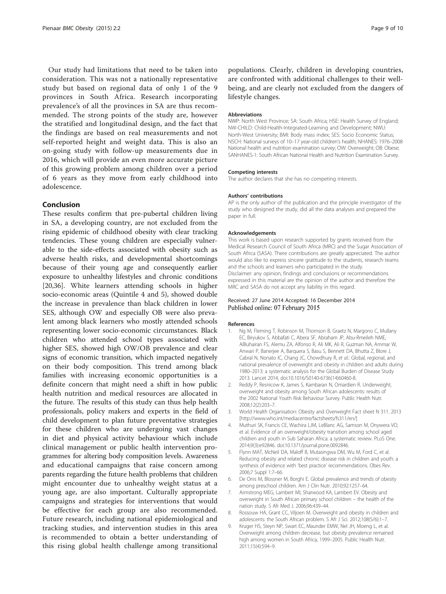<span id="page-8-0"></span>Our study had limitations that need to be taken into consideration. This was not a nationally representative study but based on regional data of only 1 of the 9 provinces in South Africa. Research incorporating prevalence's of all the provinces in SA are thus recommended. The strong points of the study are, however the stratified and longitudinal design, and the fact that the findings are based on real measurements and not self-reported height and weight data. This is also an on-going study with follow-up measurements due in 2016, which will provide an even more accurate picture of this growing problem among children over a period of 6 years as they move from early childhood into adolescence.

# Conclusion

These results confirm that pre-pubertal children living in SA, a developing country, are not excluded from the rising epidemic of childhood obesity with clear tracking tendencies. These young children are especially vulnerable to the side-effects associated with obesity such as adverse health risks, and developmental shortcomings because of their young age and consequently earlier exposure to unhealthy lifestyles and chronic conditions [[20,36\]](#page-9-0). White learners attending schools in higher socio-economic areas (Quintile 4 and 5), showed double the increase in prevalence than black children in lower SES, although OW and especially OB were also prevalent among black learners who mostly attended schools representing lower socio-economic circumstances. Black children who attended school types associated with higher SES, showed high OW/OB prevalence and clear signs of economic transition, which impacted negatively on their body composition. This trend among black families with increasing economic opportunities is a definite concern that might need a shift in how public health nutrition and medical resources are allocated in the future. The results of this study can thus help health professionals, policy makers and experts in the field of child development to plan future preventative strategies for these children who are undergoing vast changes in diet and physical activity behaviour which include clinical management or public health intervention programmes for altering body composition levels. Awareness and educational campaigns that raise concern among parents regarding the future health problems that children might encounter due to unhealthy weight status at a young age, are also important. Culturally appropriate campaigns and strategies for interventions that would be effective for each group are also recommended. Future research, including national epidemiological and tracking studies, and intervention studies in this area is recommended to obtain a better understanding of this rising global health challenge among transitional

populations. Clearly, children in developing countries, are confronted with additional challenges to their wellbeing, and are clearly not excluded from the dangers of lifestyle changes.

#### Abbreviations

NWP: North West Province; SA: South Africa; HSE: Health Survey of England; NW-CHILD: Child-Health-Integrated-Learning and Development; NWU: North-West University; BMI: Body mass index; SES: Socio Economic Status; NSCH: National surveys of 10–17 year-old children's health; NHANES: 1976–2008 National health and nutrition examination survey; OW: Overweight; OB: Obese; SANHANES-1: South African National Health and Nutrition Examination Survey.

#### Competing interests

The author declares that she has no competing interests.

#### Authors' contributions

AP is the only author of the publication and the principle investigator of the study who designed the study, did all the data analyses and prepared the paper in full.

#### Acknowledgements

This work is based upon research supported by grants received from the Medical Research Council of South Africa (MRC) and the Sugar Association of South Africa (SASA). There contributions are greatly appreciated. The author would also like to express sincere gratitude to the students, research teams and the schools and learners who participated in the study. Disclaimer: any opinion, findings and conclusions or recommendations expressed in this material are the opinion of the author and therefore the MRC and SASA do not accept any liability in this regard.

#### Received: 27 June 2014 Accepted: 16 December 2014 Published online: 07 February 2015

#### References

- Ng M, Fleming T, Robinson M, Thomson B, Graetz N, Margono C, Mullany EC, Biryukov S, Abbafati C, Abera SF, Abraham JP, Abu-Rmeileh NME, AlBuhairan FS, Alemu ZA, Alfonso R, Ali MK, Ali R, Guzman NA, Ammar W, Anwari P, Banerjee A, Barquera S, Basu S, Bennett DA, Bhutta Z, Blore J, Cabral N, Nonato IC, Chang JC, Chowdhury R, et al.: Global, regional, and national prevalence of overweight and obesity in children and adults during 1980–2013: a systematic analysis for the Global Burden of Disease Study 2013. Lancet 2014, doi:10.1016/S0140-6736(14)60460-8.
- 2. Reddy P, Resnicow K, James S, Kambaran N, Omardien R. Underweight, overweight and obesity among South African adolescents: results of the 2002 National Youth Risk Behaviour Survey. Public Health Nutr. 2008;12(2):203–7.
- 3. World Health Organisation: Obesity and Overweight Fact sheet N 311. 2013 [[http://www.who.int/mediacentre/factsheets/fs311/en/\]](http://www.who.int/mediacentre/factsheets/fs311/en/)
- 4. Muthuri SK, Francis CE, Wachira LJM, LeBlanc AG, Samson M, Onywera VO, et al. Evidence of an overweight/obesity transition among school aged children and youth in Sub Saharan Africa: a systematic review. PLoS One. 2014;9(3):e92846. doi:10.1371/journal.pone.0092846.
- 5. Flynn MAT, McNeil DA, Maloff B, Mutasingwa DM, Wu M, Ford C, et al. Reducing obesity and related chronic disease risk in children and youth: a synthesis of evidence with 'best practice' recommendations. Obes Rev. 2006;7 Suppl 1:7–66.
- 6. De Onis M, Blossner M, Borghi E. Global prevalence and trends of obesity among preschool children. Am J Clin Nutr. 2010;92:1257–64.
- Armstrong MEG, Lambert MI, Sharwood KA, Lambert EV. Obesity and overweight in South African primary school children – the health of the nation study. S Afr Med J. 2006;96:439–44.
- 8. Rossouw HA, Grant CC, Viljoen M. Overweight and obesity in children and adolescents: the South African problem. S Afr J Sci. 2012;108(5/6):1–7.
- 9. Kruger HS, Steyn NP, Swart EC, Maunder EMW, Nel JH, Moeng L, et al. Overweight among children decrease, but obesity prevalence remained high among women in South Africa, 1999–2005. Public Health Nutr. 2011;15(4):594–9.